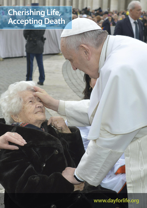## **Cherishing Life, Accepting Death**

 $\triangle$ 

## **www.dayforlife.org**

BEERBEER